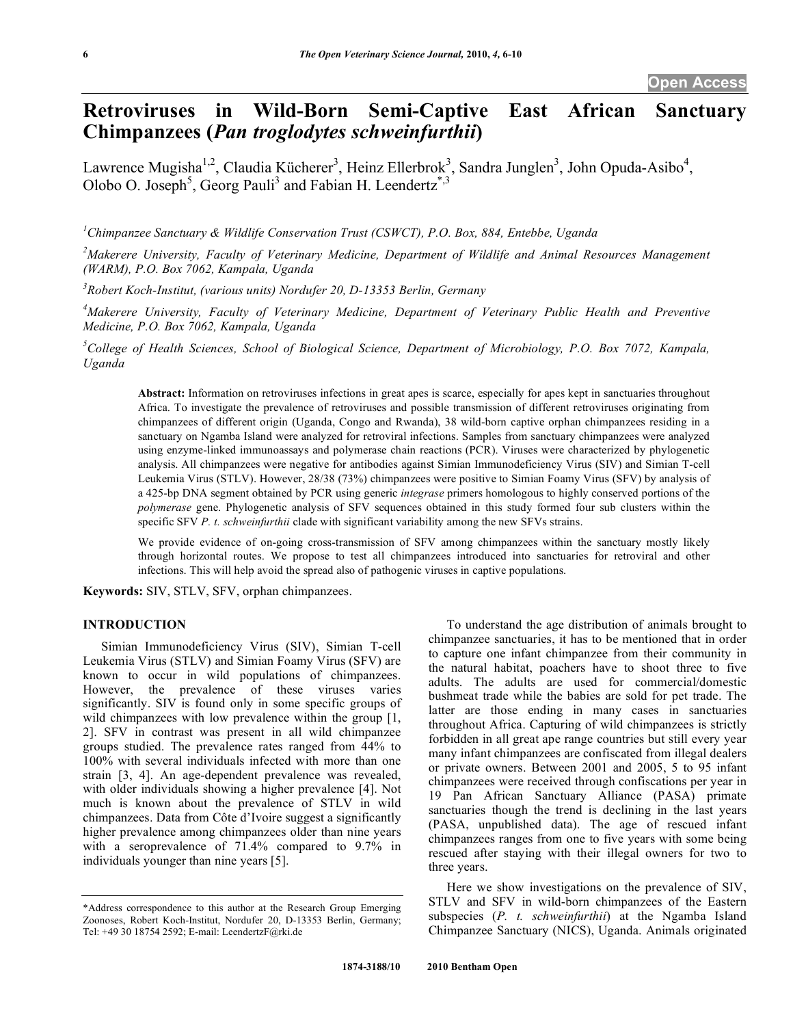# **Retroviruses in Wild-Born Semi-Captive East African Sanctuary Chimpanzees (***Pan troglodytes schweinfurthii***)**

Lawrence Mugisha<sup>1,2</sup>, Claudia Kücherer<sup>3</sup>, Heinz Ellerbrok<sup>3</sup>, Sandra Junglen<sup>3</sup>, John Opuda-Asibo<sup>4</sup>, Olobo O. Joseph<sup>5</sup>, Georg Pauli<sup>3</sup> and Fabian H. Leendertz<sup>\*,3</sup>

*1 Chimpanzee Sanctuary & Wildlife Conservation Trust (CSWCT), P.O. Box, 884, Entebbe, Uganda* 

<sup>2</sup> Makerere University, Faculty of Veterinary Medicine, Department of Wildlife and Animal Resources Management *(WARM), P.O. Box 7062, Kampala, Uganda* 

*3 Robert Koch-Institut, (various units) Nordufer 20, D-13353 Berlin, Germany* 

*4 Makerere University, Faculty of Veterinary Medicine, Department of Veterinary Public Health and Preventive Medicine, P.O. Box 7062, Kampala, Uganda* 

<sup>5</sup>College of Health Sciences, School of Biological Science, Department of Microbiology, P.O. Box 7072, Kampala, *Uganda* 

**Abstract:** Information on retroviruses infections in great apes is scarce, especially for apes kept in sanctuaries throughout Africa. To investigate the prevalence of retroviruses and possible transmission of different retroviruses originating from chimpanzees of different origin (Uganda, Congo and Rwanda), 38 wild-born captive orphan chimpanzees residing in a sanctuary on Ngamba Island were analyzed for retroviral infections. Samples from sanctuary chimpanzees were analyzed using enzyme-linked immunoassays and polymerase chain reactions (PCR). Viruses were characterized by phylogenetic analysis. All chimpanzees were negative for antibodies against Simian Immunodeficiency Virus (SIV) and Simian T-cell Leukemia Virus (STLV). However, 28/38 (73%) chimpanzees were positive to Simian Foamy Virus (SFV) by analysis of a 425-bp DNA segment obtained by PCR using generic *integrase* primers homologous to highly conserved portions of the *polymerase* gene. Phylogenetic analysis of SFV sequences obtained in this study formed four sub clusters within the specific SFV *P. t. schweinfurthii* clade with significant variability among the new SFVs strains.

We provide evidence of on-going cross-transmission of SFV among chimpanzees within the sanctuary mostly likely through horizontal routes. We propose to test all chimpanzees introduced into sanctuaries for retroviral and other infections. This will help avoid the spread also of pathogenic viruses in captive populations.

**Keywords:** SIV, STLV, SFV, orphan chimpanzees.

# **INTRODUCTION**

 Simian Immunodeficiency Virus (SIV), Simian T-cell Leukemia Virus (STLV) and Simian Foamy Virus (SFV) are known to occur in wild populations of chimpanzees. However, the prevalence of these viruses varies significantly. SIV is found only in some specific groups of wild chimpanzees with low prevalence within the group [1, 2]. SFV in contrast was present in all wild chimpanzee groups studied. The prevalence rates ranged from 44% to 100% with several individuals infected with more than one strain [3, 4]. An age-dependent prevalence was revealed, with older individuals showing a higher prevalence [4]. Not much is known about the prevalence of STLV in wild chimpanzees. Data from Côte d'Ivoire suggest a significantly higher prevalence among chimpanzees older than nine years with a seroprevalence of 71.4% compared to 9.7% in individuals younger than nine years [5].

 To understand the age distribution of animals brought to chimpanzee sanctuaries, it has to be mentioned that in order to capture one infant chimpanzee from their community in the natural habitat, poachers have to shoot three to five adults. The adults are used for commercial/domestic bushmeat trade while the babies are sold for pet trade. The latter are those ending in many cases in sanctuaries throughout Africa. Capturing of wild chimpanzees is strictly forbidden in all great ape range countries but still every year many infant chimpanzees are confiscated from illegal dealers or private owners. Between 2001 and 2005, 5 to 95 infant chimpanzees were received through confiscations per year in 19 Pan African Sanctuary Alliance (PASA) primate sanctuaries though the trend is declining in the last years (PASA, unpublished data). The age of rescued infant chimpanzees ranges from one to five years with some being rescued after staying with their illegal owners for two to three years.

 Here we show investigations on the prevalence of SIV, STLV and SFV in wild-born chimpanzees of the Eastern subspecies (*P. t. schweinfurthii*) at the Ngamba Island Chimpanzee Sanctuary (NICS), Uganda. Animals originated

<sup>\*</sup>Address correspondence to this author at the Research Group Emerging Zoonoses, Robert Koch-Institut, Nordufer 20, D-13353 Berlin, Germany; Tel: +49 30 18754 2592; E-mail: LeendertzF@rki.de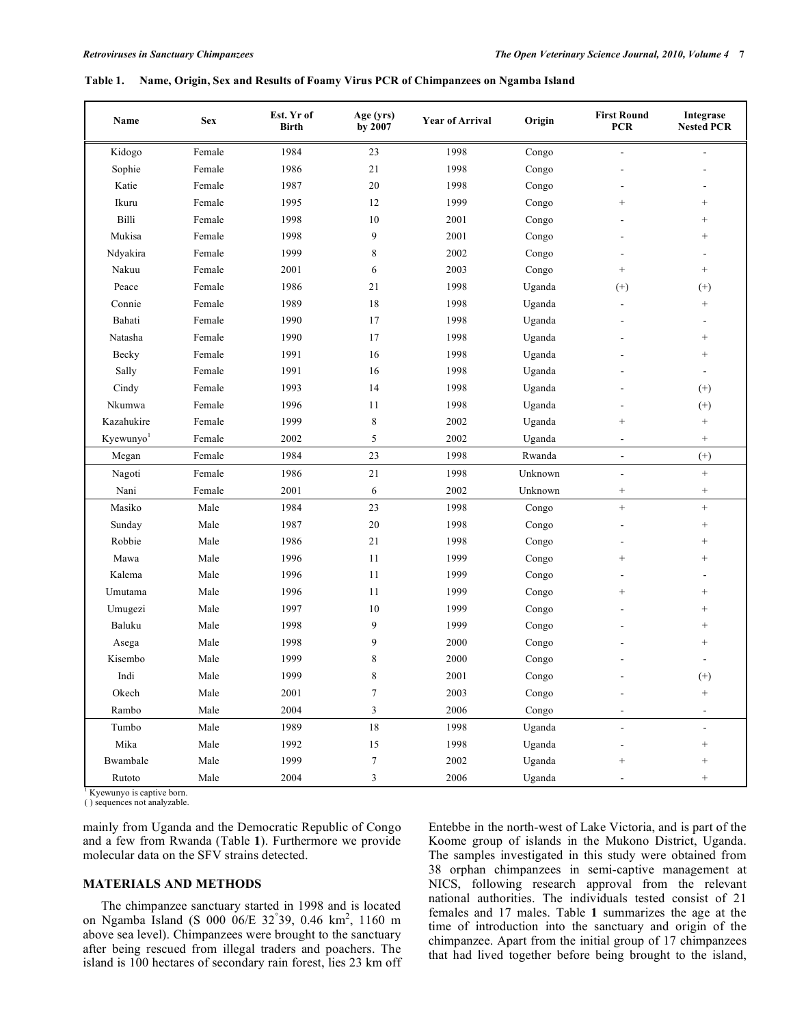#### **Table 1. Name, Origin, Sex and Results of Foamy Virus PCR of Chimpanzees on Ngamba Island**

| Name                  | <b>Sex</b> | Est. Yr of<br><b>Birth</b> | Age (yrs)<br>by 2007        | <b>Year of Arrival</b> | Origin  | <b>First Round</b><br><b>PCR</b> | Integrase<br><b>Nested PCR</b> |
|-----------------------|------------|----------------------------|-----------------------------|------------------------|---------|----------------------------------|--------------------------------|
| Kidogo                | Female     | 1984                       | 23                          | 1998                   | Congo   |                                  |                                |
| Sophie                | Female     | 1986                       | $21\,$                      | 1998                   | Congo   |                                  |                                |
| Katie                 | Female     | 1987                       | 20                          | 1998                   | Congo   |                                  |                                |
| Ikuru                 | Female     | 1995                       | 12                          | 1999                   | Congo   | $^{+}$                           | $^{+}$                         |
| Billi                 | Female     | 1998                       | 10                          | 2001                   | Congo   |                                  | $^{+}$                         |
| Mukisa                | Female     | 1998                       | 9                           | 2001                   | Congo   |                                  | $^{+}$                         |
| Ndyakira              | Female     | 1999                       | 8                           | 2002                   | Congo   |                                  |                                |
| Nakuu                 | Female     | 2001                       | 6                           | 2003                   | Congo   | $^{+}$                           | $+$                            |
| Peace                 | Female     | 1986                       | 21                          | 1998                   | Uganda  | $^{(+)}$                         | $^{(+)}$                       |
| Connie                | Female     | 1989                       | 18                          | 1998                   | Uganda  |                                  | $\qquad \qquad +$              |
| Bahati                | Female     | 1990                       | 17                          | 1998                   | Uganda  |                                  |                                |
| Natasha               | Female     | 1990                       | 17                          | 1998                   | Uganda  |                                  | $^{+}$                         |
| Becky                 | Female     | 1991                       | 16                          | 1998                   | Uganda  |                                  | $^{+}$                         |
| Sally                 | Female     | 1991                       | 16                          | 1998                   | Uganda  |                                  |                                |
| Cindy                 | Female     | 1993                       | 14                          | 1998                   | Uganda  |                                  | $^{(+)}$                       |
| Nkumwa                | Female     | 1996                       | $11$                        | 1998                   | Uganda  |                                  | $(+)$                          |
| Kazahukire            | Female     | 1999                       | $\,$ 8 $\,$                 | 2002                   | Uganda  | $^{+}$                           | $\qquad \qquad +$              |
| Kyewunyo <sup>1</sup> | Female     | 2002                       | 5                           | 2002                   | Uganda  | $\overline{\phantom{a}}$         | $^{+}$                         |
| Megan                 | Female     | 1984                       | 23                          | 1998                   | Rwanda  | $\overline{\phantom{a}}$         | $\left( +\right)$              |
| Nagoti                | Female     | 1986                       | 21                          | 1998                   | Unknown | $\overline{a}$                   | $^{+}$                         |
| Nani                  | Female     | 2001                       | 6                           | 2002                   | Unknown |                                  | $\qquad \qquad +$              |
| Masiko                | Male       | 1984                       | 23                          | 1998                   | Congo   | $+$                              | $\qquad \qquad +$              |
| Sunday                | Male       | 1987                       | 20                          | 1998                   | Congo   |                                  | $\qquad \qquad +$              |
| Robbie                | Male       | 1986                       | $21\,$                      | 1998                   | Congo   |                                  | $^{+}$                         |
| Mawa                  | Male       | 1996                       | 11                          | 1999                   | Congo   | $^{+}$                           | $^{+}$                         |
| Kalema                | Male       | 1996                       | 11                          | 1999                   | Congo   |                                  |                                |
| Umutama               | Male       | 1996                       | 11                          | 1999                   | Congo   | $^{+}$                           | $^{+}$                         |
| Umugezi               | Male       | 1997                       | 10                          | 1999                   | Congo   |                                  | $^{+}$                         |
| Baluku                | Male       | 1998                       | 9                           | 1999                   | Congo   |                                  | $\qquad \qquad +$              |
| Asega                 | Male       | 1998                       | 9                           | 2000                   | Congo   |                                  | $^{+}$                         |
| Kisembo               | Male       | 1999                       | 8                           | 2000                   | Congo   |                                  |                                |
| Indi                  | Male       | 1999                       | 8                           | 2001                   | Congo   |                                  | $^{(+)}$                       |
| Okech                 | Male       | 2001                       | $\tau$                      | 2003                   | Congo   |                                  | $^{+}$                         |
| Rambo                 | Male       | 2004                       | $\sqrt{3}$                  | 2006                   | Congo   |                                  |                                |
| Tumbo                 | Male       | 1989                       | $1\,8$                      | 1998                   | Uganda  |                                  | $\overline{\phantom{a}}$       |
| Mika                  | Male       | 1992                       | 15                          | 1998                   | Uganda  |                                  | $\qquad \qquad +$              |
| Bwambale              | Male       | 1999                       | $\boldsymbol{7}$            | 2002                   | Uganda  | $^{+}$                           | $^{+}$                         |
| Rutoto                | Male       | 2004                       | $\ensuremath{\mathfrak{Z}}$ | 2006                   | Uganda  |                                  | $^{+}$                         |

<sup>1</sup> Kyewunyo is captive born. ( ) sequences not analyzable.

mainly from Uganda and the Democratic Republic of Congo and a few from Rwanda (Table **1**). Furthermore we provide molecular data on the SFV strains detected.

## **MATERIALS AND METHODS**

 The chimpanzee sanctuary started in 1998 and is located on Ngamba Island (S 000 06/E 32<sup>°</sup>39, 0.46 km<sup>2</sup>, 1160 m above sea level). Chimpanzees were brought to the sanctuary after being rescued from illegal traders and poachers. The island is 100 hectares of secondary rain forest, lies 23 km off

Entebbe in the north-west of Lake Victoria, and is part of the Koome group of islands in the Mukono District, Uganda. The samples investigated in this study were obtained from 38 orphan chimpanzees in semi-captive management at NICS, following research approval from the relevant national authorities. The individuals tested consist of 21 females and 17 males. Table **1** summarizes the age at the time of introduction into the sanctuary and origin of the chimpanzee. Apart from the initial group of 17 chimpanzees that had lived together before being brought to the island,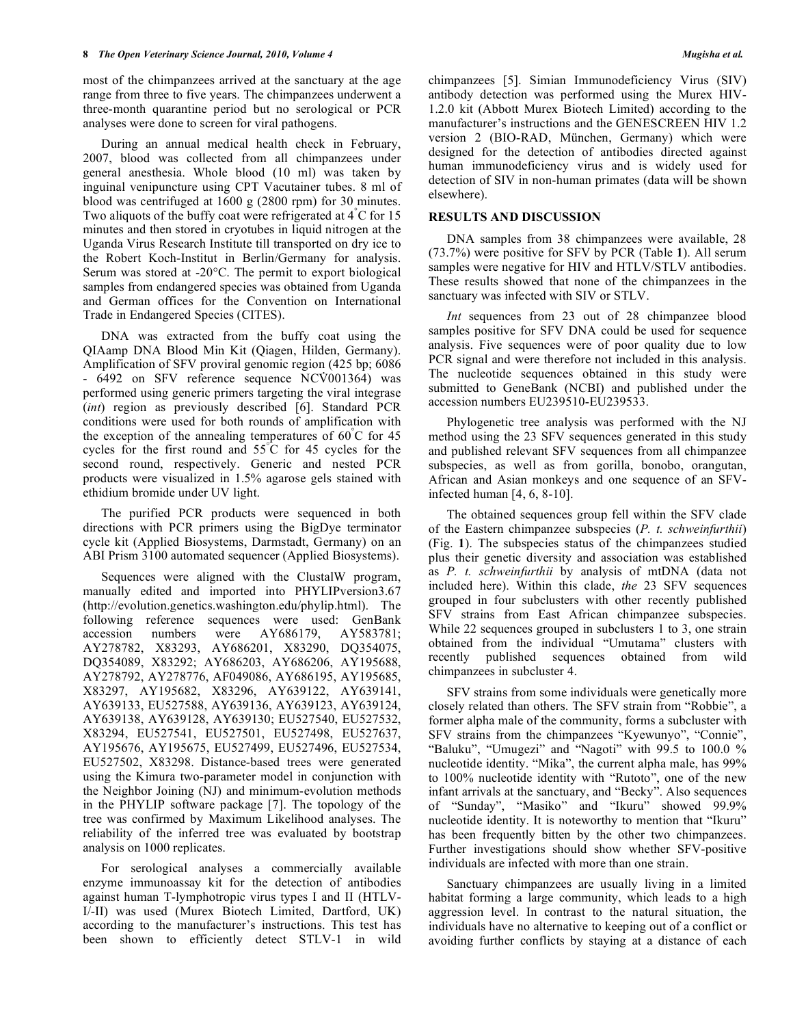most of the chimpanzees arrived at the sanctuary at the age range from three to five years. The chimpanzees underwent a three-month quarantine period but no serological or PCR analyses were done to screen for viral pathogens.

 During an annual medical health check in February, 2007, blood was collected from all chimpanzees under general anesthesia. Whole blood (10 ml) was taken by inguinal venipuncture using CPT Vacutainer tubes. 8 ml of blood was centrifuged at 1600 g (2800 rpm) for 30 minutes. Two aliquots of the buffy coat were refrigerated at 4°C for 15 minutes and then stored in cryotubes in liquid nitrogen at the Uganda Virus Research Institute till transported on dry ice to the Robert Koch-Institut in Berlin/Germany for analysis. Serum was stored at -20°C. The permit to export biological samples from endangered species was obtained from Uganda and German offices for the Convention on International Trade in Endangered Species (CITES).

 DNA was extracted from the buffy coat using the QIAamp DNA Blood Min Kit (Qiagen, Hilden, Germany). Amplification of SFV proviral genomic region (425 bp; 6086 - 6492 on SFV reference sequence NCV001364) was performed using generic primers targeting the viral integrase (*int*) region as previously described [6]. Standard PCR conditions were used for both rounds of amplification with the exception of the annealing temperatures of  $60^{\circ}$ C for 45 cycles for the first round and 55° C for 45 cycles for the second round, respectively. Generic and nested PCR products were visualized in 1.5% agarose gels stained with ethidium bromide under UV light.

 The purified PCR products were sequenced in both directions with PCR primers using the BigDye terminator cycle kit (Applied Biosystems, Darmstadt, Germany) on an ABI Prism 3100 automated sequencer (Applied Biosystems).

 Sequences were aligned with the ClustalW program, manually edited and imported into PHYLIPversion3.67 (http://evolution.genetics.washington.edu/phylip.html). The following reference sequences were used: GenBank accession numbers were AY686179, AY583781; AY278782, X83293, AY686201, X83290, DQ354075, DQ354089, X83292; AY686203, AY686206, AY195688, AY278792, AY278776, AF049086, AY686195, AY195685, X83297, AY195682, X83296, AY639122, AY639141, AY639133, EU527588, AY639136, AY639123, AY639124, AY639138, AY639128, AY639130; EU527540, EU527532, X83294, EU527541, EU527501, EU527498, EU527637, AY195676, AY195675, EU527499, EU527496, EU527534, EU527502, X83298. Distance-based trees were generated using the Kimura two-parameter model in conjunction with the Neighbor Joining (NJ) and minimum-evolution methods in the PHYLIP software package [7]. The topology of the tree was confirmed by Maximum Likelihood analyses. The reliability of the inferred tree was evaluated by bootstrap analysis on 1000 replicates.

 For serological analyses a commercially available enzyme immunoassay kit for the detection of antibodies against human T-lymphotropic virus types I and II (HTLV-I/-II) was used (Murex Biotech Limited, Dartford, UK) according to the manufacturer's instructions. This test has been shown to efficiently detect STLV-1 in wild

chimpanzees [5]. Simian Immunodeficiency Virus (SIV) antibody detection was performed using the Murex HIV-1.2.0 kit (Abbott Murex Biotech Limited) according to the manufacturer's instructions and the GENESCREEN HIV 1.2 version 2 (BIO-RAD, München, Germany) which were designed for the detection of antibodies directed against human immunodeficiency virus and is widely used for detection of SIV in non-human primates (data will be shown elsewhere).

## **RESULTS AND DISCUSSION**

 DNA samples from 38 chimpanzees were available, 28 (73.7%) were positive for SFV by PCR (Table **1**). All serum samples were negative for HIV and HTLV/STLV antibodies. These results showed that none of the chimpanzees in the sanctuary was infected with SIV or STLV.

 *Int* sequences from 23 out of 28 chimpanzee blood samples positive for SFV DNA could be used for sequence analysis. Five sequences were of poor quality due to low PCR signal and were therefore not included in this analysis. The nucleotide sequences obtained in this study were submitted to GeneBank (NCBI) and published under the accession numbers EU239510-EU239533.

 Phylogenetic tree analysis was performed with the NJ method using the 23 SFV sequences generated in this study and published relevant SFV sequences from all chimpanzee subspecies, as well as from gorilla, bonobo, orangutan, African and Asian monkeys and one sequence of an SFVinfected human [4, 6, 8-10].

 The obtained sequences group fell within the SFV clade of the Eastern chimpanzee subspecies (*P. t. schweinfurthii*) (Fig. **1**). The subspecies status of the chimpanzees studied plus their genetic diversity and association was established as *P. t. schweinfurthii* by analysis of mtDNA (data not included here). Within this clade, *the* 23 SFV sequences grouped in four subclusters with other recently published SFV strains from East African chimpanzee subspecies. While 22 sequences grouped in subclusters 1 to 3, one strain obtained from the individual "Umutama" clusters with recently published sequences obtained from wild chimpanzees in subcluster 4.

 SFV strains from some individuals were genetically more closely related than others. The SFV strain from "Robbie", a former alpha male of the community, forms a subcluster with SFV strains from the chimpanzees "Kyewunyo", "Connie", "Baluku", "Umugezi" and "Nagoti" with 99.5 to 100.0 % nucleotide identity. "Mika", the current alpha male, has 99% to 100% nucleotide identity with "Rutoto", one of the new infant arrivals at the sanctuary, and "Becky". Also sequences of "Sunday", "Masiko" and "Ikuru" showed 99.9% nucleotide identity. It is noteworthy to mention that "Ikuru" has been frequently bitten by the other two chimpanzees. Further investigations should show whether SFV-positive individuals are infected with more than one strain.

 Sanctuary chimpanzees are usually living in a limited habitat forming a large community, which leads to a high aggression level. In contrast to the natural situation, the individuals have no alternative to keeping out of a conflict or avoiding further conflicts by staying at a distance of each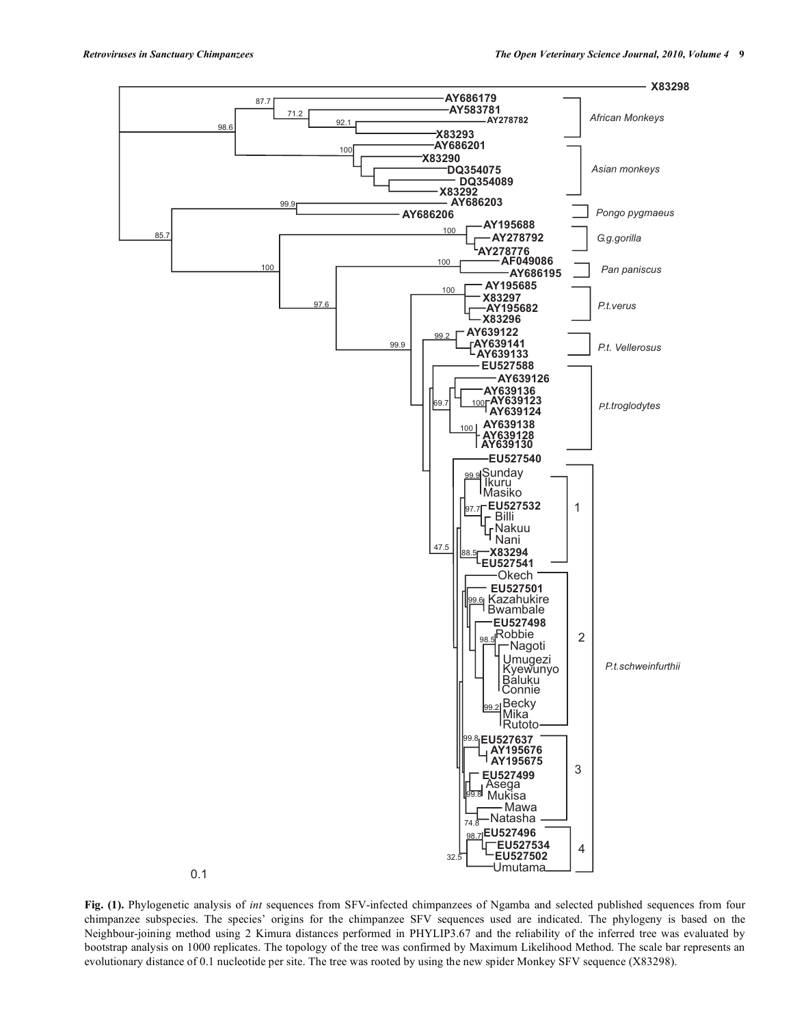

Fig. (1). Phylogenetic analysis of int sequences from SFV-infected chimpanzees of Ngamba and selected published sequences from four chimpanzee subspecies. The species' origins for the chimpanzee SFV sequences used are indicated. The phylogeny is based on the Neighbour-joining method using 2 Kimura distances performed in PHYLIP3.67 and the reliability of the inferred tree was evaluated by bootstrap analysis on 1000 replicates. The topology of the tree was confirmed by Maximum Likelihood Method. The scale bar represents an evolutionary distance of 0.1 nucleotide per site. The tree was rooted by using the new spider Monkey SFV sequence (X83298).